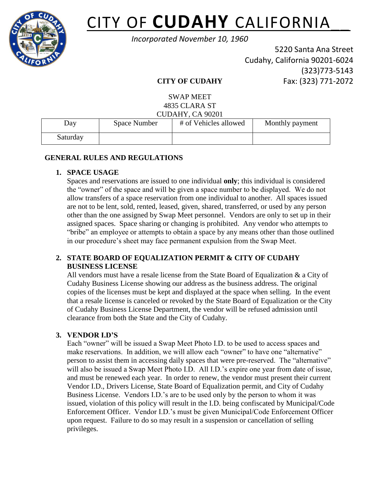

# CITY OF **CUDAHY** CALIFORNIA\_\_

*Incorporated November 10, 1960*

5220 Santa Ana Street Cudahy, California 90201-6024 (323)773-5143 Fax: (323) 771-2072

# **CITY OF CUDAHY**

SWAP MEET 4835 CLARA ST  $CUNAYCAO201$ 

| CUDANI, CA 90201 |              |                       |                 |  |
|------------------|--------------|-----------------------|-----------------|--|
| Day              | Space Number | # of Vehicles allowed | Monthly payment |  |
| Saturday         |              |                       |                 |  |

# **GENERAL RULES AND REGULATIONS**

# **1. SPACE USAGE**

Spaces and reservations are issued to one individual **only**; this individual is considered the "owner" of the space and will be given a space number to be displayed. We do not allow transfers of a space reservation from one individual to another. All spaces issued are not to be lent, sold, rented, leased, given, shared, transferred, or used by any person other than the one assigned by Swap Meet personnel. Vendors are only to set up in their assigned spaces. Space sharing or changing is prohibited. Any vendor who attempts to "bribe" an employee or attempts to obtain a space by any means other than those outlined in our procedure's sheet may face permanent expulsion from the Swap Meet.

# **2. STATE BOARD OF EQUALIZATION PERMIT & CITY OF CUDAHY BUSINESS LICENSE**

All vendors must have a resale license from the State Board of Equalization  $\&$  a City of Cudahy Business License showing our address as the business address. The original copies of the licenses must be kept and displayed at the space when selling. In the event that a resale license is canceled or revoked by the State Board of Equalization or the City of Cudahy Business License Department, the vendor will be refused admission until clearance from both the State and the City of Cudahy.

# **3. VENDOR I.D'S**

Each "owner" will be issued a Swap Meet Photo I.D. to be used to access spaces and make reservations. In addition, we will allow each "owner" to have one "alternative" person to assist them in accessing daily spaces that were pre-reserved. The "alternative" will also be issued a Swap Meet Photo I.D. All I.D.'s expire one year from date of issue, and must be renewed each year. In order to renew, the vendor must present their current Vendor I.D., Drivers License, State Board of Equalization permit, and City of Cudahy Business License. Vendors I.D.'s are to be used only by the person to whom it was issued, violation of this policy will result in the I.D. being confiscated by Municipal/Code Enforcement Officer. Vendor I.D.'s must be given Municipal/Code Enforcement Officer upon request. Failure to do so may result in a suspension or cancellation of selling privileges.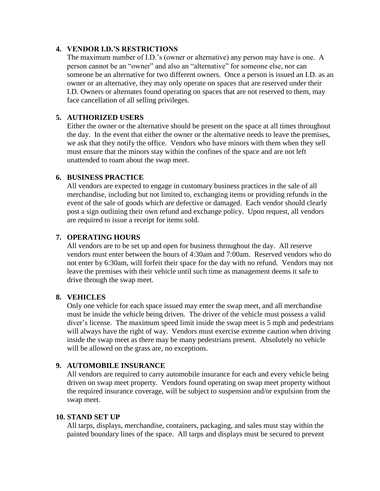## **4. VENDOR I.D.'S RESTRICTIONS**

The maximum number of I.D.'s (owner or alternative) any person may have is one. A person cannot be an "owner" and also an "alternative" for someone else, nor can someone be an alternative for two different owners. Once a person is issued an I.D. as an owner or an alternative, they may only operate on spaces that are reserved under their I.D. Owners or alternates found operating on spaces that are not reserved to them, may face cancellation of all selling privileges.

## **5. AUTHORIZED USERS**

Either the owner or the alternative should be present on the space at all times throughout the day. In the event that either the owner or the alternative needs to leave the premises, we ask that they notify the office. Vendors who have minors with them when they sell must ensure that the minors stay within the confines of the space and are not left unattended to roam about the swap meet.

#### **6. BUSINESS PRACTICE**

All vendors are expected to engage in customary business practices in the sale of all merchandise, including but not limited to, exchanging items or providing refunds in the event of the sale of goods which are defective or damaged. Each vendor should clearly post a sign outlining their own refund and exchange policy. Upon request, all vendors are required to issue a receipt for items sold.

## **7. OPERATING HOURS**

All vendors are to be set up and open for business throughout the day. All reserve vendors must enter between the hours of 4:30am and 7:00am. Reserved vendors who do not enter by 6:30am, will forfeit their space for the day with no refund. Vendors may not leave the premises with their vehicle until such time as management deems it safe to drive through the swap meet.

#### **8. VEHICLES**

Only one vehicle for each space issued may enter the swap meet, and all merchandise must be inside the vehicle being driven. The driver of the vehicle must possess a valid diver's license. The maximum speed limit inside the swap meet is 5 mph and pedestrians will always have the right of way. Vendors must exercise extreme caution when driving inside the swap meet as there may be many pedestrians present. Absolutely no vehicle will be allowed on the grass are, no exceptions.

## **9. AUTOMOBILE INSURANCE**

All vendors are required to carry automobile insurance for each and every vehicle being driven on swap meet property. Vendors found operating on swap meet property without the required insurance coverage, will be subject to suspension and/or expulsion from the swap meet.

#### **10. STAND SET UP**

All tarps, displays, merchandise, containers, packaging, and sales must stay within the painted boundary lines of the space. All tarps and displays must be secured to prevent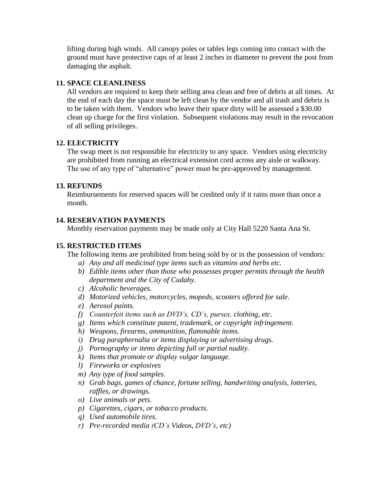lifting during high winds. All canopy poles or tables legs coming into contact with the ground must have protective caps of at least 2 inches in diameter to prevent the post from damaging the asphalt.

## **11. SPACE CLEANLINESS**

All vendors are required to keep their selling area clean and free of debris at all times. At the end of each day the space must be left clean by the vendor and all trash and debris is to be taken with them. Vendors who leave their space dirty will be assessed a \$30.00 clean up charge for the first violation. Subsequent violations may result in the revocation of all selling privileges.

## **12. ELECTRICITY**

The swap meet is not responsible for electricity to any space. Vendors using electricity are prohibited from running an electrical extension cord across any aisle or walkway. The use of any type of "alternative" power must be pre-approved by management.

## **13. REFUNDS**

Reimbursements for reserved spaces will be credited only if it rains more than once a month.

# **14. RESERVATION PAYMENTS**

Monthly reservation payments may be made only at City Hall 5220 Santa Ana St.

## **15. RESTRICTED ITEMS**

The following items are prohibited from being sold by or in the possession of vendors:

- *a) Any and all medicinal type items such as vitamins and herbs etc.*
- *b) Edible items other than those who possesses proper permits through the health department and the City of Cudahy.*
- *c) Alcoholic beverages.*
- *d) Motorized vehicles, motorcycles, mopeds, scooters offered for sale.*
- *e) Aerosol paints.*
- *f) Counterfeit items such as DVD's, CD's, purses, clothing, etc.*
- *g) Items which constitute patent, trademark, or copyright infringement.*
- *h) Weapons, firearms, ammunition, flammable items.*
- *i) Drug paraphernalia or items displaying or advertising drugs.*
- *j) Pornography or items depicting full or partial nudity.*
- *k) Items that promote or display vulgar language.*
- *l) Fireworks or explosives*
- *m) Any type of food samples.*
- *n) Grab bags, games of chance, fortune telling, handwriting analysis, lotteries, raffles, or drawings.*
- *o) Live animals or pets.*
- *p) Cigarettes, cigars, or tobacco products.*
- *q) Used automobile tires.*
- *r) Pre-recorded media (CD's Videos, DVD's, etc)*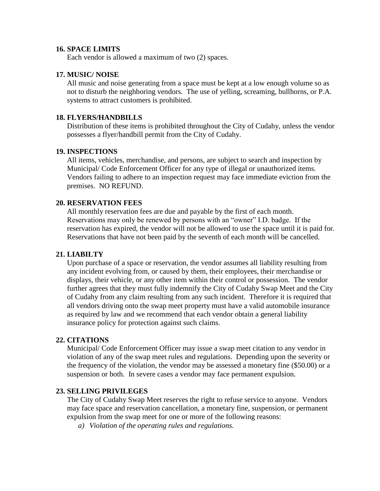#### **16. SPACE LIMITS**

Each vendor is allowed a maximum of two (2) spaces.

#### **17. MUSIC/ NOISE**

All music and noise generating from a space must be kept at a low enough volume so as not to disturb the neighboring vendors. The use of yelling, screaming, bullhorns, or P.A. systems to attract customers is prohibited.

## **18. FLYERS/HANDBILLS**

Distribution of these items is prohibited throughout the City of Cudahy, unless the vendor possesses a flyer/handbill permit from the City of Cudahy.

#### **19. INSPECTIONS**

All items, vehicles, merchandise, and persons, are subject to search and inspection by Municipal/ Code Enforcement Officer for any type of illegal or unauthorized items. Vendors failing to adhere to an inspection request may face immediate eviction from the premises. NO REFUND.

#### **20. RESERVATION FEES**

All monthly reservation fees are due and payable by the first of each month. Reservations may only be renewed by persons with an "owner" I.D. badge. If the reservation has expired, the vendor will not be allowed to use the space until it is paid for. Reservations that have not been paid by the seventh of each month will be cancelled.

#### **21. LIABILTY**

Upon purchase of a space or reservation, the vendor assumes all liability resulting from any incident evolving from, or caused by them, their employees, their merchandise or displays, their vehicle, or any other item within their control or possession. The vendor further agrees that they must fully indemnify the City of Cudahy Swap Meet and the City of Cudahy from any claim resulting from any such incident. Therefore it is required that all vendors driving onto the swap meet property must have a valid automobile insurance as required by law and we recommend that each vendor obtain a general liability insurance policy for protection against such claims.

#### **22. CITATIONS**

Municipal/ Code Enforcement Officer may issue a swap meet citation to any vendor in violation of any of the swap meet rules and regulations. Depending upon the severity or the frequency of the violation, the vendor may be assessed a monetary fine (\$50.00) or a suspension or both. In severe cases a vendor may face permanent expulsion.

#### **23. SELLING PRIVILEGES**

The City of Cudahy Swap Meet reserves the right to refuse service to anyone. Vendors may face space and reservation cancellation, a monetary fine, suspension, or permanent expulsion from the swap meet for one or more of the following reasons:

*a) Violation of the operating rules and regulations.*